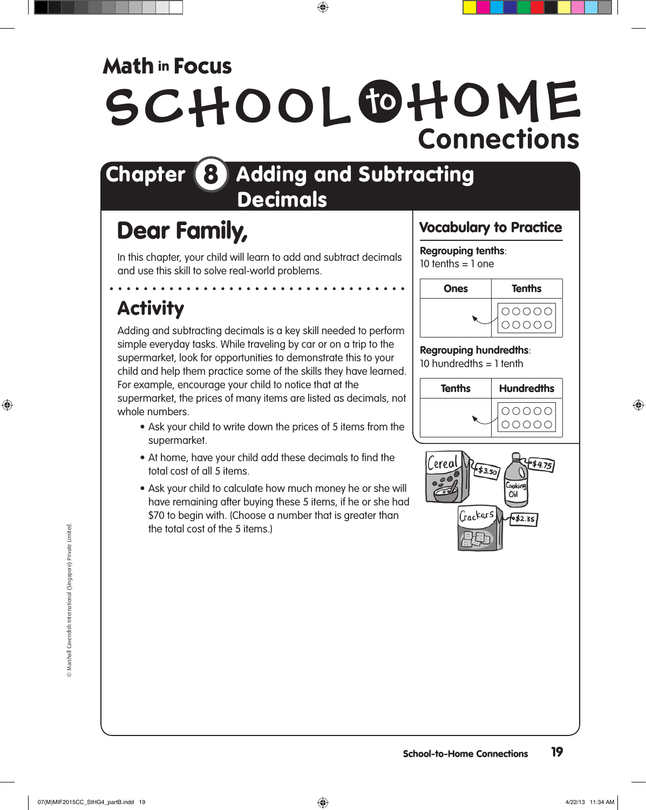## **Math in Focus**

# SCHOOL OHOME **Connections**

## Chapter 8 Adding and Subtracting Decimals

## Dear Family,

In this chapter, your child will learn to add and subtract decimals and use this skill to solve real-world problems.

## Activity

Adding and subtracting decimals is a key skill needed to perform simple everyday tasks. While traveling by car or on a trip to the supermarket, look for opportunities to demonstrate this to your child and help them practice some of the skills they have learned. For example, encourage your child to notice that at the supermarket, the prices of many items are listed as decimals, not whole numbers.

- Ask your child to write down the prices of 5 items from the supermarket.
- At home, have your child add these decimals to find the total cost of all 5 items.
- Ask your child to calculate how much money he or she will have remaining after buying these 5 items, if he or she had \$70 to begin with. (Choose a number that is greater than the total cost of the 5 items.)

## Vocabulary to Practice

### **Regrouping tenths**:

 $10$  tenths = 1 one



#### **Regrouping hundredths**:

10 hundredths  $= 1$  tenth